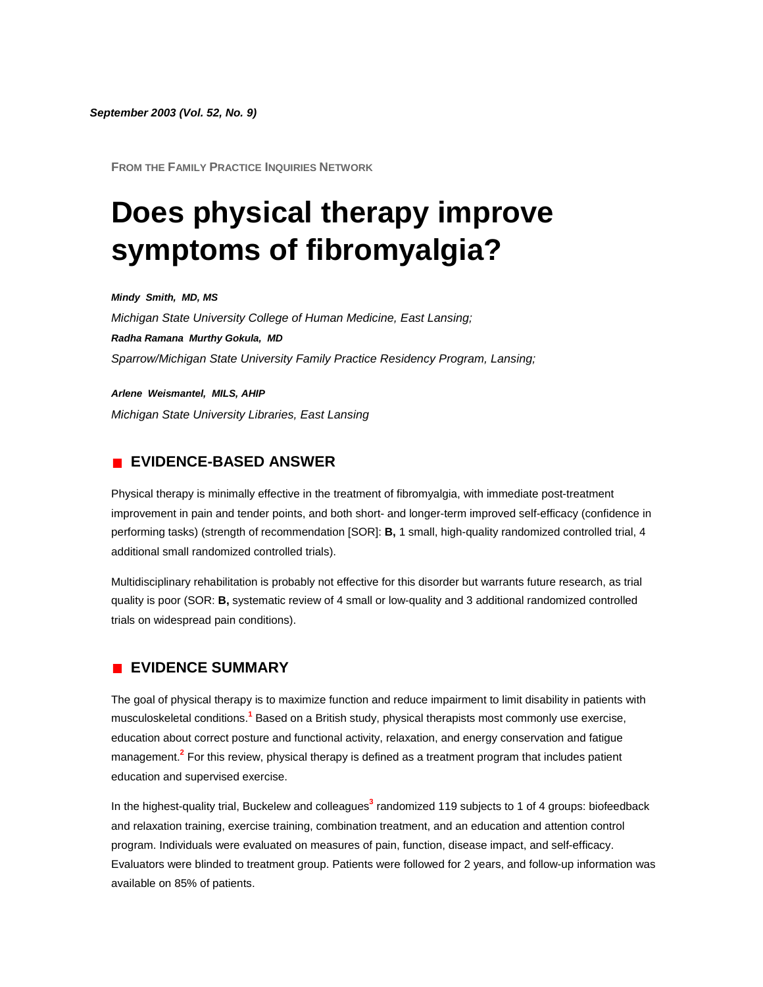*September 2003 (Vol. 52, No. 9)*

**FROM THE FAMILY PRACTICE INQUIRIES NETWORK**

# **Does physical therapy improve symptoms of fibromyalgia?**

*Mindy Smith, MD, MS Michigan State University College of Human Medicine, East Lansing; Radha Ramana Murthy Gokula, MD Sparrow/Michigan State University Family Practice Residency Program, Lansing;* 

*Arlene Weismantel, MILS, AHIP Michigan State University Libraries, East Lansing* 

### **EVIDENCE-BASED ANSWER**

Physical therapy is minimally effective in the treatment of fibromyalgia, with immediate post-treatment improvement in pain and tender points, and both short- and longer-term improved self-efficacy (confidence in performing tasks) (strength of recommendation [SOR]: **B,** 1 small, high-quality randomized controlled trial, 4 additional small randomized controlled trials).

Multidisciplinary rehabilitation is probably not effective for this disorder but warrants future research, as trial quality is poor (SOR: **B,** systematic review of 4 small or low-quality and 3 additional randomized controlled trials on widespread pain conditions).

# **EVIDENCE SUMMARY**

The goal of physical therapy is to maximize function and reduce impairment to limit disability in patients with musculoskeletal condition[s.](http://www.jfponline.com/Pages.asp?AID=1529&issue=September_2003&UID=#bib1)**<sup>1</sup>** Based on a British study, physical therapists most commonly use exercise, education about correct posture and functional activity, relaxation, and energy conservation and fatigue managemen[t.](http://www.jfponline.com/Pages.asp?AID=1529&issue=September_2003&UID=#bib2)**<sup>2</sup>** For this review, physical therapy is defined as a treatment program that includes patient education and supervised exercise.

In the highest-quality trial, Buckelew and colleagues**[3](http://www.jfponline.com/Pages.asp?AID=1529&issue=September_2003&UID=#bib3)** randomized 119 subjects to 1 of 4 groups: biofeedback and relaxation training, exercise training, combination treatment, and an education and attention control program. Individuals were evaluated on measures of pain, function, disease impact, and self-efficacy. Evaluators were blinded to treatment group. Patients were followed for 2 years, and follow-up information was available on 85% of patients.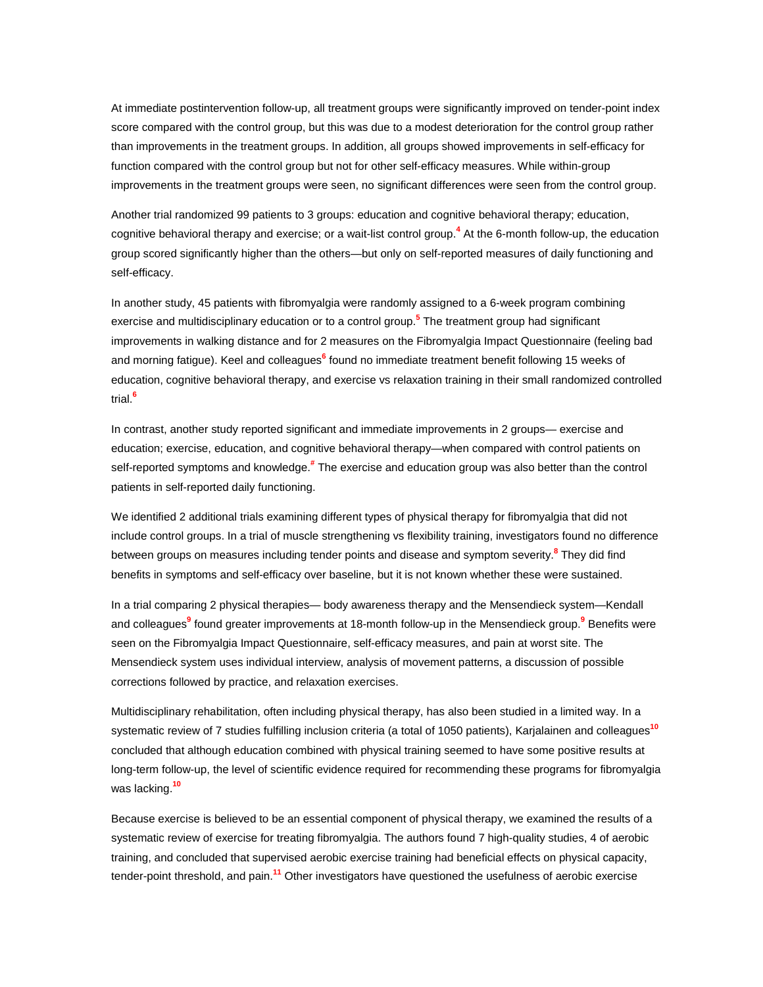At immediate postintervention follow-up, all treatment groups were significantly improved on tender-point index score compared with the control group, but this was due to a modest deterioration for the control group rather than improvements in the treatment groups. In addition, all groups showed improvements in self-efficacy for function compared with the control group but not for other self-efficacy measures. While within-group improvements in the treatment groups were seen, no significant differences were seen from the control group.

Another trial randomized 99 patients to 3 groups: education and cognitive behavioral therapy; education, cognitive behavioral therapy and exercise; or a wait-list control grou[p.](http://www.jfponline.com/Pages.asp?AID=1529&issue=September_2003&UID=#bib4)**<sup>4</sup>** At the 6-month follow-up, the education group scored significantly higher than the others—but only on self-reported measures of daily functioning and self-efficacy.

In another study, 45 patients with fibromyalgia were randomly assigned to a 6-week program combining exercise and multidisciplinary education or to a control grou[p.](http://www.jfponline.com/Pages.asp?AID=1529&issue=September_2003&UID=#bib5)**<sup>5</sup>** The treatment group had significant improvements in walking distance and for 2 measures on the Fibromyalgia Impact Questionnaire (feeling bad and morning fatigue). Keel and colleagues**[6](http://www.jfponline.com/Pages.asp?AID=1529&issue=September_2003&UID=#bib6)** found no immediate treatment benefit following 15 weeks of education, cognitive behavioral therapy, and exercise vs relaxation training in their small randomized controlled trial[.](http://www.jfponline.com/Pages.asp?AID=1529&issue=September_2003&UID=#bib6)**<sup>6</sup>**

In contrast, another study reported significant and immediate improvements in 2 groups— exercise and education; exercise, education, and cognitive behavioral therapy—when compared with control patients on self-reported symptoms and knowledg[e.](http://www.jfponline.com/Pages.asp?AID=1529&issue=September_2003&UID=#bib#)**#** The exercise and education group was also better than the control patients in self-reported daily functioning.

We identified 2 additional trials examining different types of physical therapy for fibromyalgia that did not include control groups. In a trial of muscle strengthening vs flexibility training, investigators found no difference between groups on measures including tender points and disease and symptom severit[y.](http://www.jfponline.com/Pages.asp?AID=1529&issue=September_2003&UID=#bib8)**<sup>8</sup>** They did find benefits in symptoms and self-efficacy over baseline, but it is not known whether these were sustained.

In a trial comparing 2 physical therapies— body awareness therapy and the Mensendieck system—Kendall and colleague[s](http://www.jfponline.com/Pages.asp?AID=1529&issue=September_2003&UID=#bib9)**<sup>9</sup>** found greater improvements at 18-month follow-up in the Mensendieck grou[p.](http://www.jfponline.com/Pages.asp?AID=1529&issue=September_2003&UID=#bib9)**<sup>9</sup>** Benefits were seen on the Fibromyalgia Impact Questionnaire, self-efficacy measures, and pain at worst site. The Mensendieck system uses individual interview, analysis of movement patterns, a discussion of possible corrections followed by practice, and relaxation exercises.

Multidisciplinary rehabilitation, often including physical therapy, has also been studied in a limited way. In a systematic review of 7 studies fulfilling inclusion criteria (a total of 1050 patients), Karjalainen and colleagues**[10](http://www.jfponline.com/Pages.asp?AID=1529&issue=September_2003&UID=#bib10)** concluded that although education combined with physical training seemed to have some positive results at long-term follow-up, the level of scientific evidence required for recommending these programs for fibromyalgia was lacking.**[10](http://www.jfponline.com/Pages.asp?AID=1529&issue=September_2003&UID=#bib10)**

Because exercise is believed to be an essential component of physical therapy, we examined the results of a systematic review of exercise for treating fibromyalgia. The authors found 7 high-quality studies, 4 of aerobic training, and concluded that supervised aerobic exercise training had beneficial effects on physical capacity, tender-point threshold, and pain.**[11](http://www.jfponline.com/Pages.asp?AID=1529&issue=September_2003&UID=#bib11)** Other investigators have questioned the usefulness of aerobic exercise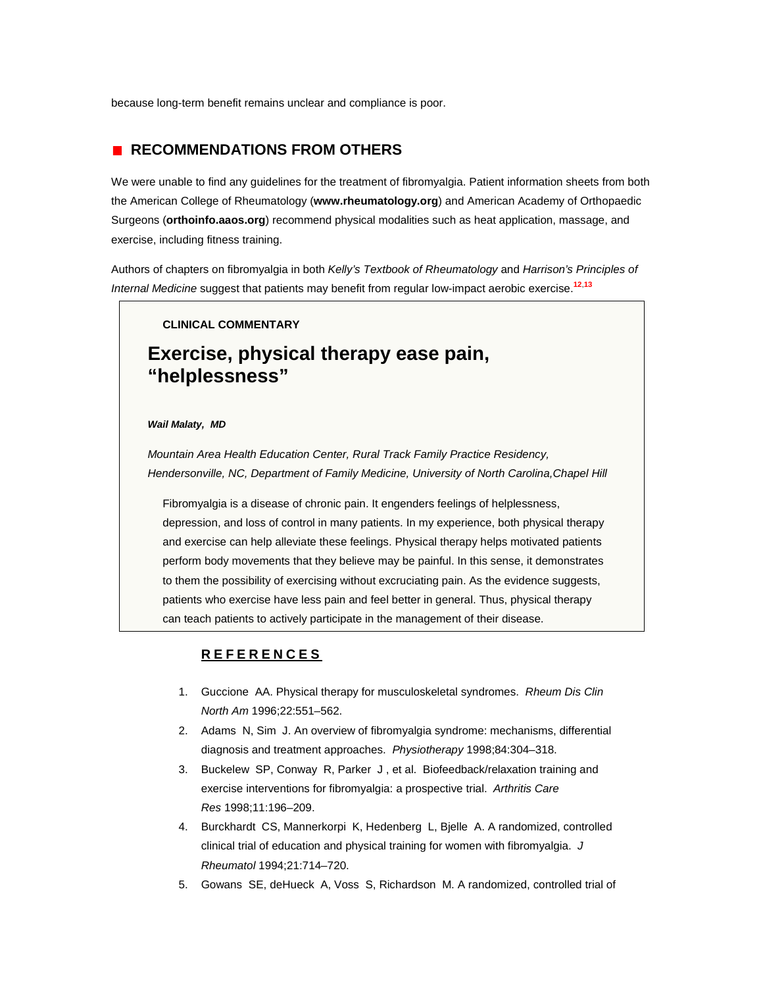because long-term benefit remains unclear and compliance is poor.

## **RECOMMENDATIONS FROM OTHERS**

We were unable to find any guidelines for the treatment of fibromyalgia. Patient information sheets from both the American College of Rheumatology (**[www.rheumatology.org](http://www.rheumatology.org/)**) and American Academy of Orthopaedic Surgeons (**[orthoinfo.aaos.org](http://orthoinfo.aaos.org/)**) recommend physical modalities such as heat application, massage, and exercise, including fitness training.

Authors of chapters on fibromyalgia in both *Kelly's Textbook of Rheumatology* and *Harrison's Principles of Internal Medicine* suggest that patients may benefit from regular low-impact aerobic exercise.**[12](http://www.jfponline.com/Pages.asp?AID=1529&issue=September_2003&UID=#bib12)**,**[13](http://www.jfponline.com/Pages.asp?AID=1529&issue=September_2003&UID=#bib13)**

#### **CLINICAL COMMENTARY**

# **Exercise, physical therapy ease pain, "helplessness"**

#### *Wail Malaty, MD*

*Mountain Area Health Education Center, Rural Track Family Practice Residency, Hendersonville, NC, Department of Family Medicine, University of North Carolina,Chapel Hill*

Fibromyalgia is a disease of chronic pain. It engenders feelings of helplessness, depression, and loss of control in many patients. In my experience, both physical therapy and exercise can help alleviate these feelings. Physical therapy helps motivated patients perform body movements that they believe may be painful. In this sense, it demonstrates to them the possibility of exercising without excruciating pain. As the evidence suggests, patients who exercise have less pain and feel better in general. Thus, physical therapy can teach patients to actively participate in the management of their disease.

#### **REFERENCES**

- 1. Guccione AA. Physical therapy for musculoskeletal syndromes. *Rheum Dis Clin North Am* 1996;22:551–562.
- 2. Adams N, Sim J. An overview of fibromyalgia syndrome: mechanisms, differential diagnosis and treatment approaches. *Physiotherapy* 1998;84:304–318.
- 3. Buckelew SP, Conway R, Parker J , et al. Biofeedback/relaxation training and exercise interventions for fibromyalgia: a prospective trial. *Arthritis Care Res* 1998;11:196–209.
- 4. Burckhardt CS, Mannerkorpi K, Hedenberg L, Bjelle A. A randomized, controlled clinical trial of education and physical training for women with fibromyalgia. *J Rheumatol* 1994;21:714–720.
- 5. Gowans SE, deHueck A, Voss S, Richardson M. A randomized, controlled trial of